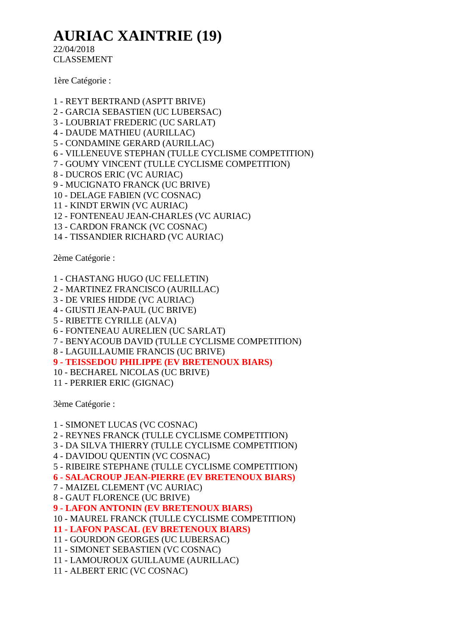## **AURIAC XAINTRIE (19)**

22/04/2018 CLASSEMENT

1ère Catégorie :

- 1 REYT BERTRAND (ASPTT BRIVE)
- 2 GARCIA SEBASTIEN (UC LUBERSAC)
- 3 LOUBRIAT FREDERIC (UC SARLAT)
- 4 DAUDE MATHIEU (AURILLAC)
- 5 CONDAMINE GERARD (AURILLAC)
- 6 VILLENEUVE STEPHAN (TULLE CYCLISME COMPETITION)
- 7 GOUMY VINCENT (TULLE CYCLISME COMPETITION)
- 8 DUCROS ERIC (VC AURIAC)
- 9 MUCIGNATO FRANCK (UC BRIVE)
- 10 DELAGE FABIEN (VC COSNAC)
- 11 KINDT ERWIN (VC AURIAC)
- 12 FONTENEAU JEAN-CHARLES (VC AURIAC)
- 13 CARDON FRANCK (VC COSNAC)
- 14 TISSANDIER RICHARD (VC AURIAC)

2ème Catégorie :

- 1 CHASTANG HUGO (UC FELLETIN)
- 2 MARTINEZ FRANCISCO (AURILLAC)
- 3 DE VRIES HIDDE (VC AURIAC)
- 4 GIUSTI JEAN-PAUL (UC BRIVE)
- 5 RIBETTE CYRILLE (ALVA)
- 6 FONTENEAU AURELIEN (UC SARLAT)
- 7 BENYACOUB DAVID (TULLE CYCLISME COMPETITION)
- 8 LAGUILLAUMIE FRANCIS (UC BRIVE)
- **9 - TEISSEDOU PHILIPPE (EV BRETENOUX BIARS)**
- 10 BECHAREL NICOLAS (UC BRIVE)
- 11 PERRIER ERIC (GIGNAC)

3ème Catégorie :

- 1 SIMONET LUCAS (VC COSNAC)
- 2 REYNES FRANCK (TULLE CYCLISME COMPETITION)
- 3 DA SILVA THIERRY (TULLE CYCLISME COMPETITION)
- 4 DAVIDOU QUENTIN (VC COSNAC)
- 5 RIBEIRE STEPHANE (TULLE CYCLISME COMPETITION)
- **6 - SALACROUP JEAN-PIERRE (EV BRETENOUX BIARS)**
- 7 MAIZEL CLEMENT (VC AURIAC)
- 8 GAUT FLORENCE (UC BRIVE)
- **9 - LAFON ANTONIN (EV BRETENOUX BIARS)**

10 - MAUREL FRANCK (TULLE CYCLISME COMPETITION)

- **11 - LAFON PASCAL (EV BRETENOUX BIARS)**
- 11 GOURDON GEORGES (UC LUBERSAC)
- 11 SIMONET SEBASTIEN (VC COSNAC)
- 11 LAMOUROUX GUILLAUME (AURILLAC)
- 11 ALBERT ERIC (VC COSNAC)